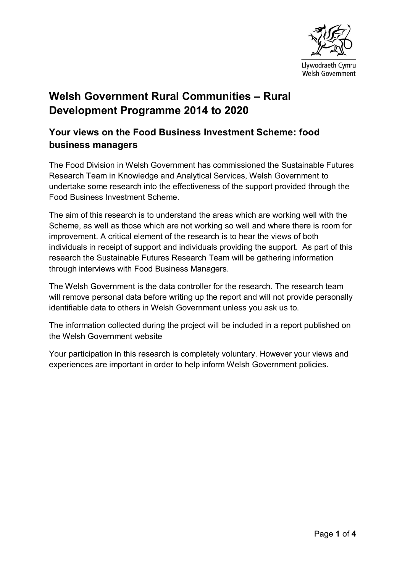

# **Welsh Government Rural Communities – Rural Development Programme 2014 to 2020**

# **Your views on the Food Business Investment Scheme: food business managers**

The Food Division in Welsh Government has commissioned the Sustainable Futures Research Team in Knowledge and Analytical Services, Welsh Government to undertake some research into the effectiveness of the support provided through the Food Business Investment Scheme.

The aim of this research is to understand the areas which are working well with the Scheme, as well as those which are not working so well and where there is room for improvement. A critical element of the research is to hear the views of both individuals in receipt of support and individuals providing the support. As part of this research the Sustainable Futures Research Team will be gathering information through interviews with Food Business Managers.

The Welsh Government is the data controller for the research. The research team will remove personal data before writing up the report and will not provide personally identifiable data to others in Welsh Government unless you ask us to.

The information collected during the project will be included in a report published on the Welsh Government website

Your participation in this research is completely voluntary. However your views and experiences are important in order to help inform Welsh Government policies.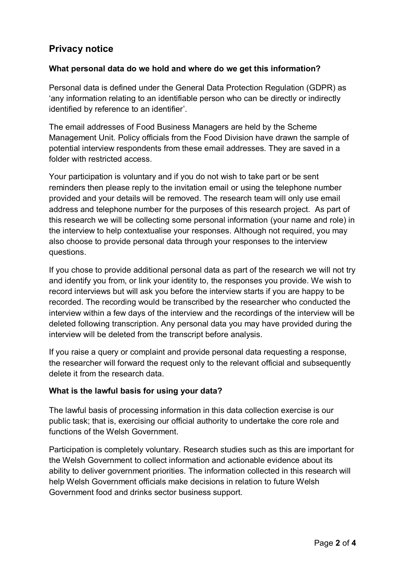# **Privacy notice**

### **What personal data do we hold and where do we get this information?**

Personal data is defined under the General Data Protection Regulation (GDPR) as 'any information relating to an identifiable person who can be directly or indirectly identified by reference to an identifier'.

The email addresses of Food Business Managers are held by the Scheme Management Unit. Policy officials from the Food Division have drawn the sample of potential interview respondents from these email addresses. They are saved in a folder with restricted access.

Your participation is voluntary and if you do not wish to take part or be sent reminders then please reply to the invitation email or using the telephone number provided and your details will be removed. The research team will only use email address and telephone number for the purposes of this research project. As part of this research we will be collecting some personal information (your name and role) in the interview to help contextualise your responses. Although not required, you may also choose to provide personal data through your responses to the interview questions.

If you chose to provide additional personal data as part of the research we will not try and identify you from, or link your identity to, the responses you provide. We wish to record interviews but will ask you before the interview starts if you are happy to be recorded. The recording would be transcribed by the researcher who conducted the interview within a few days of the interview and the recordings of the interview will be deleted following transcription. Any personal data you may have provided during the interview will be deleted from the transcript before analysis.

If you raise a query or complaint and provide personal data requesting a response, the researcher will forward the request only to the relevant official and subsequently delete it from the research data.

#### **What is the lawful basis for using your data?**

The lawful basis of processing information in this data collection exercise is our public task; that is, exercising our official authority to undertake the core role and functions of the Welsh Government.

Participation is completely voluntary. Research studies such as this are important for the Welsh Government to collect information and actionable evidence about its ability to deliver government priorities. The information collected in this research will help Welsh Government officials make decisions in relation to future Welsh Government food and drinks sector business support.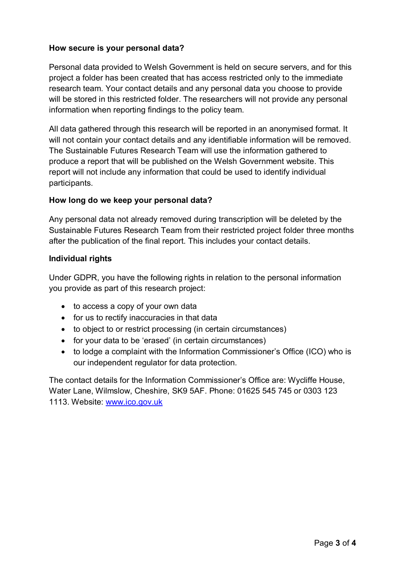### **How secure is your personal data?**

Personal data provided to Welsh Government is held on secure servers, and for this project a folder has been created that has access restricted only to the immediate research team. Your contact details and any personal data you choose to provide will be stored in this restricted folder. The researchers will not provide any personal information when reporting findings to the policy team.

All data gathered through this research will be reported in an anonymised format. It will not contain your contact details and any identifiable information will be removed. The Sustainable Futures Research Team will use the information gathered to produce a report that will be published on the Welsh Government website. This report will not include any information that could be used to identify individual participants.

#### **How long do we keep your personal data?**

Any personal data not already removed during transcription will be deleted by the Sustainable Futures Research Team from their restricted project folder three months after the publication of the final report. This includes your contact details.

#### **Individual rights**

Under GDPR, you have the following rights in relation to the personal information you provide as part of this research project:

- to access a copy of your own data
- for us to rectify inaccuracies in that data
- to object to or restrict processing (in certain circumstances)
- for your data to be 'erased' (in certain circumstances)
- to lodge a complaint with the Information Commissioner's Office (ICO) who is our independent regulator for data protection.

The contact details for the Information Commissioner's Office are: Wycliffe House, Water Lane, Wilmslow, Cheshire, SK9 5AF. Phone: 01625 545 745 or 0303 123 1113. Website: [www.ico.gov.uk](http://www.ico.gov.uk/)